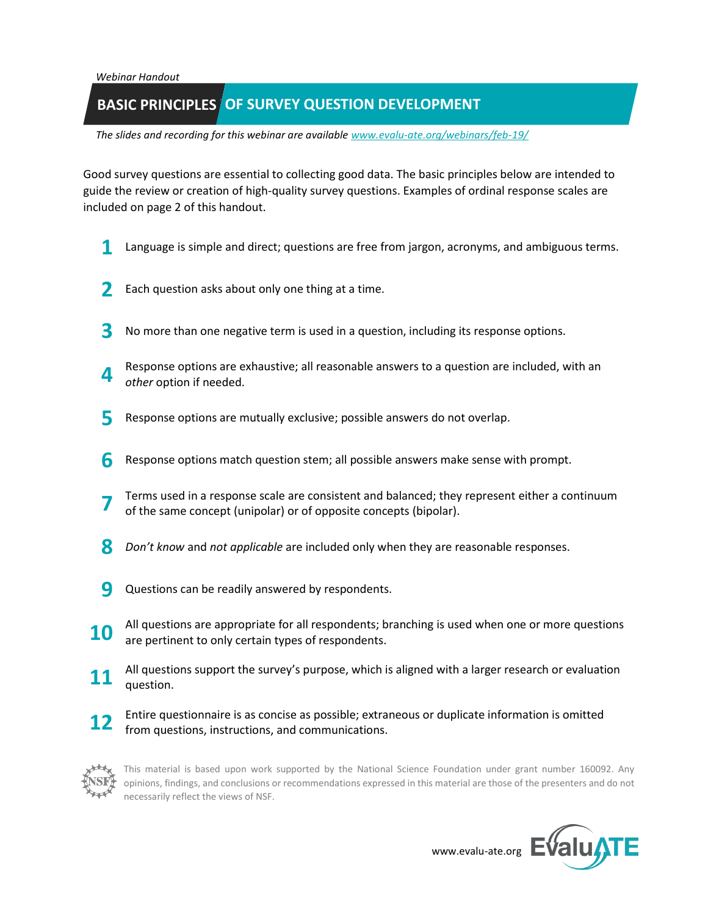*Webinar Handout*

## **BASIC PRINCIPLES** OF SURVEY QUESTION DEVELOPMENT

*The slides and recording for this webinar are available [www.evalu-ate.org/webinars/feb-19/](http://www.evalu-ate.org/webinars/feb-19/)*

Good survey questions are essential to collecting good data. The basic principles below are intended to guide the review or creation of high-quality survey questions. Examples of ordinal response scales are included on page 2 of this handout.

- **1** Language is simple and direct; questions are free from jargon, acronyms, and ambiguous terms.
- **2** Each question asks about only one thing at a time.
- **3** No more than one negative term is used in a question, including its response options.
- **4** Response options are exhaustive; all reasonable answers to a question are included, with an *other* option if needed.
- **5** Response options are mutually exclusive; possible answers do not overlap.
- **6** Response options match question stem; all possible answers make sense with prompt.
- **7** Terms used in a response scale are consistent and balanced; they represent either a continuum of the same concept (unipolar) or of opposite concepts (bipolar).
- **8** *Don't know* and *not applicable* are included only when they are reasonable responses.
- **9** Questions can be readily answered by respondents.
- **10** All questions are appropriate for all respondents; branching is used when one or more questions are pertinent to only certain types of respondents.
- **11** All questions support the survey's purpose, which is aligned with a larger research or evaluation and all processes question.
- **12** Entire questionnaire is as concise as possible; extraneous or duplicate information is omitted from questions, instructions, and communications.



This material is based upon work supported by the National Science Foundation under grant number 160092. Any opinions, findings, and conclusions or recommendations expressed in this material are those of the presenters and do not necessarily reflect the views of NSF.